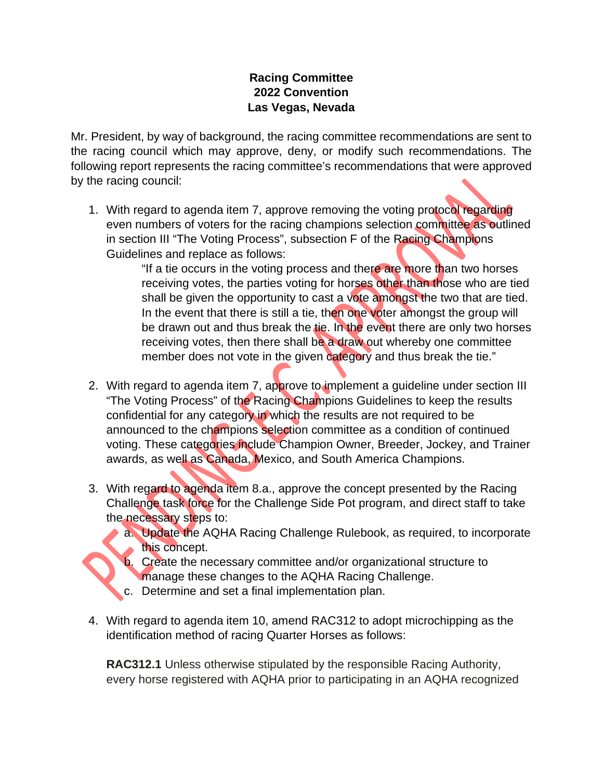## **Racing Committee 2022 Convention Las Vegas, Nevada**

Mr. President, by way of background, the racing committee recommendations are sent to the racing council which may approve, deny, or modify such recommendations. The following report represents the racing committee's recommendations that were approved by the racing council:

1. With regard to agenda item 7, approve removing the voting protocol regarding even numbers of voters for the racing champions selection committee as outlined in section III "The Voting Process", subsection F of the Racing Champions Guidelines and replace as follows:

> "If a tie occurs in the voting process and there are more than two horses receiving votes, the parties voting for horses other than those who are tied shall be given the opportunity to cast a vote amongst the two that are tied. In the event that there is still a tie, then one voter amongst the group will be drawn out and thus break the tie. In the event there are only two horses receiving votes, then there shall be a draw out whereby one committee member does not vote in the given category and thus break the tie."

- 2. With regard to agenda item 7, approve to implement a guideline under section III "The Voting Process" of the Racing Champions Guidelines to keep the results confidential for any category in which the results are not required to be announced to the champions selection committee as a condition of continued voting. These categories include Champion Owner, Breeder, Jockey, and Trainer awards, as well as Canada, Mexico, and South America Champions.
- 3. With regard to agenda item 8.a., approve the concept presented by the Racing Challenge task force for the Challenge Side Pot program, and direct staff to take the necessary steps to:
	- a. Update the AQHA Racing Challenge Rulebook, as required, to incorporate this concept.
	- - b. Create the necessary committee and/or organizational structure to manage these changes to the AQHA Racing Challenge.
		- c. Determine and set a final implementation plan.
- 4. With regard to agenda item 10, amend RAC312 to adopt microchipping as the identification method of racing Quarter Horses as follows:

**RAC312.1** Unless otherwise stipulated by the responsible Racing Authority, every horse registered with AQHA prior to participating in an AQHA recognized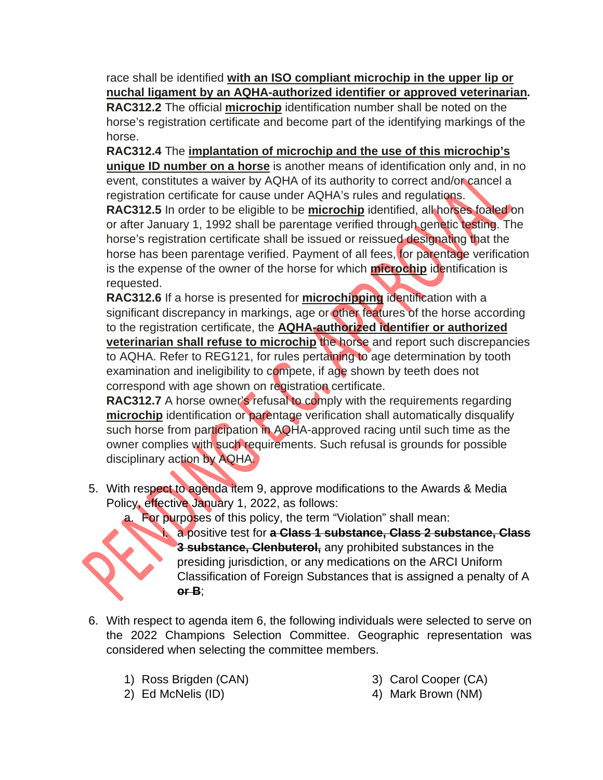race shall be identified **with an ISO compliant microchip in the upper lip or nuchal ligament by an AQHA-authorized identifier or approved veterinarian***.*

**RAC312.2** The official **microchip** identification number shall be noted on the horse's registration certificate and become part of the identifying markings of the horse.

**RAC312.4** The **implantation of microchip and the use of this microchip's unique ID number on a horse** is another means of identification only and, in no event, constitutes a waiver by AQHA of its authority to correct and/or cancel a registration certificate for cause under AQHA's rules and regulations.

**RAC312.5** In order to be eligible to be **microchip** identified, all horses foaled on or after January 1, 1992 shall be parentage verified through genetic testing. The horse's registration certificate shall be issued or reissued designating that the horse has been parentage verified. Payment of all fees, for parentage verification is the expense of the owner of the horse for which **microchip** identification is requested.

**RAC312.6** If a horse is presented for **microchipping** identification with a significant discrepancy in markings, age or other features of the horse according to the registration certificate, the **AQHA-authorized identifier or authorized veterinarian shall refuse to microchip** the horse and report such discrepancies to AQHA. Refer to REG121, for rules pertaining to age determination by tooth examination and ineligibility to compete, if age shown by teeth does not correspond with age shown on registration certificate.

**RAC312.7** A horse owner's refusal to comply with the requirements regarding **microchip** identification or parentage verification shall automatically disqualify such horse from participation in AQHA-approved racing until such time as the owner complies with such requirements. Such refusal is grounds for possible disciplinary action by AQHA.

5. With respect to agenda item 9, approve modifications to the Awards & Media Policy, effective January 1, 2022, as follows:

a. For purposes of this policy, the term "Violation" shall mean:



i. a positive test for **a Class 1 substance, Class 2 substance, Class 3 substance, Clenbuterol,** any prohibited substances in the presiding jurisdiction, or any medications on the ARCI Uniform Classification of Foreign Substances that is assigned a penalty of A **or B**;

- 6. With respect to agenda item 6, the following individuals were selected to serve on the 2022 Champions Selection Committee. Geographic representation was considered when selecting the committee members.
	- 1) Ross Brigden (CAN)
	- 2) Ed McNelis (ID)
- 3) Carol Cooper (CA)
- 4) Mark Brown (NM)